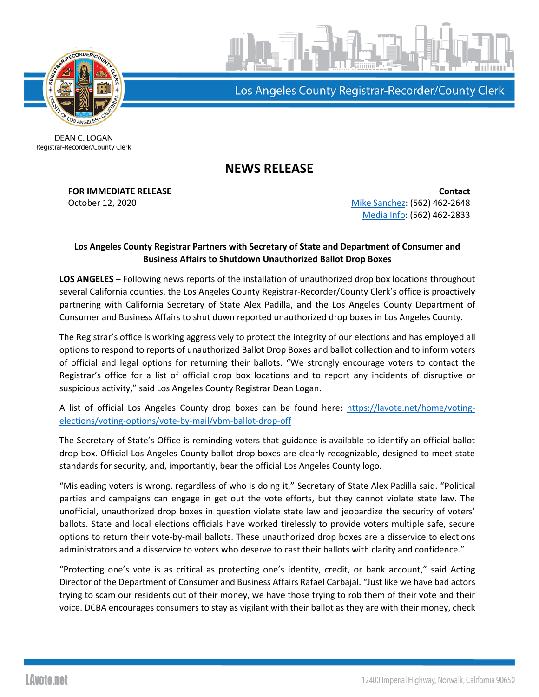

Los Angeles County Registrar-Recorder/County Clerk

DEAN C. LOGAN Registrar-Recorder/County Clerk

## **NEWS RELEASE**

**FOR IMMEDIATE RELEASE Contact Contact** October 12, 2020 **[Mike Sanchez:](mailto:msanchez@rrcc.lacounty.gov)** (562) 462-2648 [Media Info:](mailto:mediainfo@rrcc.lacounty.gov) (562) 462-2833

## **Los Angeles County Registrar Partners with Secretary of State and Department of Consumer and Business Affairs to Shutdown Unauthorized Ballot Drop Boxes**

**LOS ANGELES** – Following news reports of the installation of unauthorized drop box locations throughout several California counties, the Los Angeles County Registrar-Recorder/County Clerk's office is proactively partnering with California Secretary of State Alex Padilla, and the Los Angeles County Department of Consumer and Business Affairs to shut down reported unauthorized drop boxes in Los Angeles County.

The Registrar's office is working aggressively to protect the integrity of our elections and has employed all options to respond to reports of unauthorized Ballot Drop Boxes and ballot collection and to inform voters of official and legal options for returning their ballots. "We strongly encourage voters to contact the Registrar's office for a list of official drop box locations and to report any incidents of disruptive or suspicious activity," said Los Angeles County Registrar Dean Logan.

A list of official Los Angeles County drop boxes can be found here: [https://lavote.net/home/voting](https://lavote.net/home/voting-elections/voting-options/vote-by-mail/vbm-ballot-drop-off)[elections/voting-options/vote-by-mail/vbm-ballot-drop-off](https://lavote.net/home/voting-elections/voting-options/vote-by-mail/vbm-ballot-drop-off)

The Secretary of State's Office is reminding voters that guidance is available to identify an official ballot drop box. Official Los Angeles County ballot drop boxes are clearly recognizable, designed to meet state standards for security, and, importantly, bear the official Los Angeles County logo.

"Misleading voters is wrong, regardless of who is doing it," Secretary of State Alex Padilla said. "Political parties and campaigns can engage in get out the vote efforts, but they cannot violate state law. The unofficial, unauthorized drop boxes in question violate state law and jeopardize the security of voters' ballots. State and local elections officials have worked tirelessly to provide voters multiple safe, secure options to return their vote-by-mail ballots. These unauthorized drop boxes are a disservice to elections administrators and a disservice to voters who deserve to cast their ballots with clarity and confidence."

"Protecting one's vote is as critical as protecting one's identity, credit, or bank account," said Acting Director of the Department of Consumer and Business Affairs Rafael Carbajal. "Just like we have bad actors trying to scam our residents out of their money, we have those trying to rob them of their vote and their voice. DCBA encourages consumers to stay as vigilant with their ballot as they are with their money, check